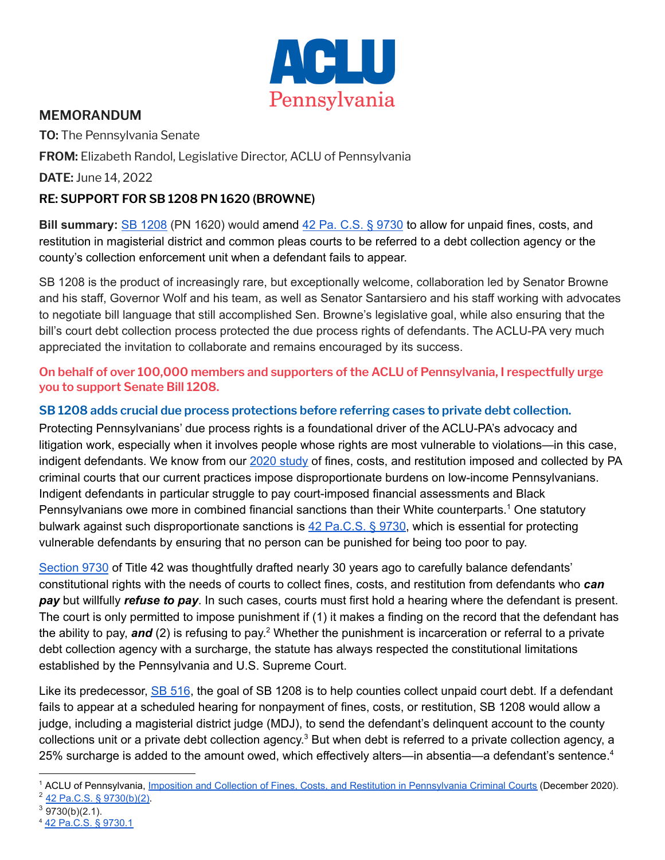

# **MEMORANDUM**

**TO:** The Pennsylvania Senate

**FROM:** Elizabeth Randol, Legislative Director, ACLU of Pennsylvania

**DATE:** June 14, 2022

## **RE: SUPPORT FOR SB 1208 PN 1620 (BROWNE)**

**Bill summary:** SB [1208](https://www.legis.state.pa.us/cfdocs/billInfo/billInfo.cfm?sYear=2021&sInd=0&body=S&type=B&bn=1208) (PN 1620) would amend 42 Pa. C.S. § [9730](https://www.legis.state.pa.us/cfdocs/legis/LI/consCheck.cfm?txtType=HTM&ttl=42&div=0&chpt=97&sctn=30&subsctn=0) to allow for unpaid fines, costs, and restitution in magisterial district and common pleas courts to be referred to a debt collection agency or the county's collection enforcement unit when a defendant fails to appear.

SB 1208 is the product of increasingly rare, but exceptionally welcome, collaboration led by Senator Browne and his staff, Governor Wolf and his team, as well as Senator Santarsiero and his staff working with advocates to negotiate bill language that still accomplished Sen. Browne's legislative goal, while also ensuring that the bill's court debt collection process protected the due process rights of defendants. The ACLU-PA very much appreciated the invitation to collaborate and remains encouraged by its success.

#### **On behalf of over 100,000 members and supporters of the ACLU of Pennsylvania, I respectfully urge you to support Senate Bill 1208.**

## **SB 1208 adds crucial due process protections before referring cases to private debt collection.**

Protecting Pennsylvanians' due process rights is a foundational driver of the ACLU-PA's advocacy and litigation work, especially when it involves people whose rights are most vulnerable to violations—in this case, indigent defendants. We know from our 2020 [study](https://aclupa.org/en/publications/imposition-and-collection-fines-costs-and-restitution-pennsylvania-criminal-courts) of fines, costs, and restitution imposed and collected by PA criminal courts that our current practices impose disproportionate burdens on low-income Pennsylvanians. Indigent defendants in particular struggle to pay court-imposed financial assessments and Black Pennsylvanians owe more in combined financial sanctions than their White counterparts.<sup>1</sup> One statutory bulwark against such disproportionate sanctions is 42 [Pa.C.S.](https://www.legis.state.pa.us/cfdocs/legis/LI/consCheck.cfm?txtType=HTM&ttl=42&div=0&chpt=97&sctn=30&subsctn=0) § 9730, which is essential for protecting vulnerable defendants by ensuring that no person can be punished for being too poor to pay.

[Section](https://www.legis.state.pa.us/WU01/LI/LI/CT/HTM/42/00.097.030.000..HTM) 9730 of Title 42 was thoughtfully drafted nearly 30 years ago to carefully balance defendants' constitutional rights with the needs of courts to collect fines, costs, and restitution from defendants who *can pay* but willfully *refuse to pay*. In such cases, courts must first hold a hearing where the defendant is present. The court is only permitted to impose punishment if (1) it makes a finding on the record that the defendant has the ability to pay, and (2) is refusing to pay.<sup>2</sup> Whether the punishment is incarceration or referral to a private debt collection agency with a surcharge, the statute has always respected the constitutional limitations established by the Pennsylvania and U.S. Supreme Court.

Like its predecessor, SB [516](https://www.legis.state.pa.us/cfdocs/billInfo/billInfo.cfm?sYear=2021&sInd=0&body=S&type=B&bn=0516), the goal of SB 1208 is to help counties collect unpaid court debt. If a defendant fails to appear at a scheduled hearing for nonpayment of fines, costs, or restitution, SB 1208 would allow a judge, including a magisterial district judge (MDJ), to send the defendant's delinquent account to the county collections unit or a private debt collection agency.<sup>3</sup> But when debt is referred to a private collection agency, a 25% surcharge is added to the amount owed, which effectively alters—in absentia—a defendant's sentence.<sup>4</sup>

<sup>2</sup> [42 Pa.C.S. § 9730\(b\)\(2\).](https://www.legis.state.pa.us/cfdocs/legis/LI/consCheck.cfm?txtType=HTM&ttl=42&div=0&chpt=97&sctn=30&subsctn=0) <sup>1</sup> ACLU of Pennsylvania, Imposition and Collection of [Fines, Costs, and Restitution in Pennsylvania Criminal Courts](https://aclupa.org/en/publications/imposition-and-collection-fines-costs-and-restitution-pennsylvania-criminal-courts) (December 2020).

 $3$  9730(b)(2.1).

<sup>4</sup> [42 Pa.C.S. § 9730.1](https://www.legis.state.pa.us/cfdocs/legis/LI/consCheck.cfm?txtType=HTM&ttl=42&div=0&chpt=97&sctn=30&subsctn=1)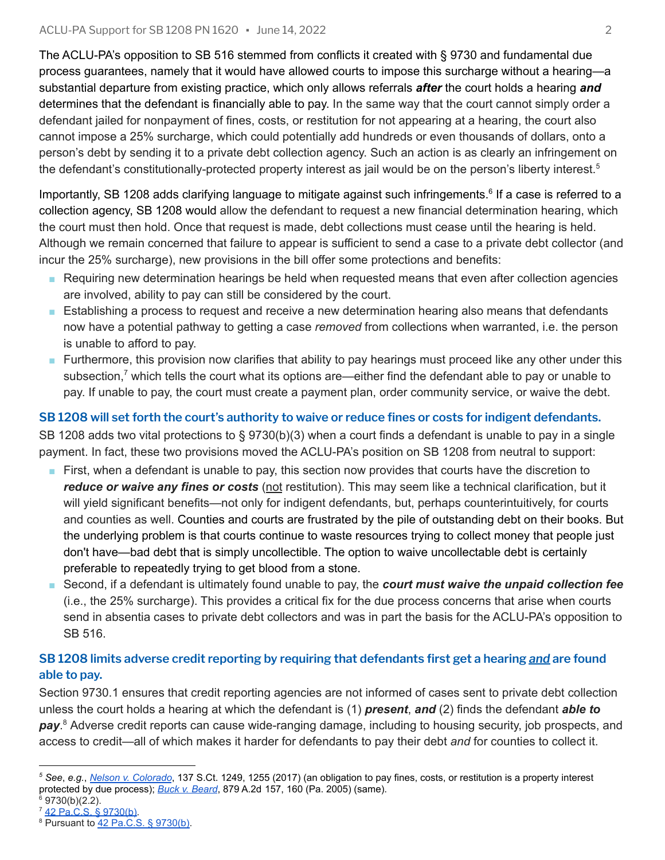The ACLU-PA's opposition to SB 516 stemmed from conflicts it created with § 9730 and fundamental due process guarantees, namely that it would have allowed courts to impose this surcharge without a hearing—a substantial departure from existing practice, which only allows referrals *after* the court holds a hearing *and* determines that the defendant is financially able to pay. In the same way that the court cannot simply order a defendant jailed for nonpayment of fines, costs, or restitution for not appearing at a hearing, the court also cannot impose a 25% surcharge, which could potentially add hundreds or even thousands of dollars, onto a person's debt by sending it to a private debt collection agency. Such an action is as clearly an infringement on the defendant's constitutionally-protected property interest as jail would be on the person's liberty interest.<sup>5</sup>

Importantly, SB 1208 adds clarifying language to mitigate against such infringements.<sup>6</sup> If a case is referred to a collection agency, SB 1208 would allow the defendant to request a new financial determination hearing, which the court must then hold. Once that request is made, debt collections must cease until the hearing is held. Although we remain concerned that failure to appear is sufficient to send a case to a private debt collector (and incur the 25% surcharge), new provisions in the bill offer some protections and benefits:

- Requiring new determination hearings be held when requested means that even after collection agencies are involved, ability to pay can still be considered by the court.
- Establishing a process to request and receive a new determination hearing also means that defendants now have a potential pathway to getting a case *removed* from collections when warranted, i.e. the person is unable to afford to pay.
- Furthermore, this provision now clarifies that ability to pay hearings must proceed like any other under this subsection,<sup>7</sup> which tells the court what its options are—either find the defendant able to pay or unable to pay. If unable to pay, the court must create a payment plan, order community service, or waive the debt.

# SB 1208 will set forth the court's authority to waive or reduce fines or costs for indigent defendants.

SB 1208 adds two vital protections to § 9730(b)(3) when a court finds a defendant is unable to pay in a single payment. In fact, these two provisions moved the ACLU-PA's position on SB 1208 from neutral to support:

- First, when a defendant is unable to pay, this section now provides that courts have the discretion to *reduce or waive any fines or costs* (not restitution). This may seem like a technical clarification, but it will yield significant benefits—not only for indigent defendants, but, perhaps counterintuitively, for courts and counties as well. Counties and courts are frustrated by the pile of outstanding debt on their books. But the underlying problem is that courts continue to waste resources trying to collect money that people just don't have—bad debt that is simply uncollectible. The option to waive uncollectable debt is certainly preferable to repeatedly trying to get blood from a stone.
- Second, if a defendant is ultimately found unable to pay, the *court must waive the unpaid collection fee* (i.e., the 25% surcharge). This provides a critical fix for the due process concerns that arise when courts send in absentia cases to private debt collectors and was in part the basis for the ACLU-PA's opposition to SB 516.

#### **SB 1208 limits adverse credit reporting by requiring that defendants first get a hearing** *and* **are found able to pay.**

Section 9730.1 ensures that credit reporting agencies are not informed of cases sent to private debt collection unless the court holds a hearing at which the defendant is (1) *present*, *and* (2) finds the defendant *able to* pay.<sup>8</sup> Adverse credit reports can cause wide-ranging damage, including to housing security, job prospects, and access to credit—all of which makes it harder for defendants to pay their debt *and* for counties to collect it.

- $6$  9730(b)(2.2).
- <sup>7</sup> [42 Pa.C.S. § 9730\(b\)](https://www.legis.state.pa.us/cfdocs/legis/LI/consCheck.cfm?txtType=HTM&ttl=42&div=0&chpt=97&sctn=30&subsctn=0).

*<sup>5</sup> See*, *e.g.*, *[Nelson v. Colorado](https://www.oyez.org/cases/2016/15-1256)*, 137 S.Ct. 1249, 1255 (2017) (an obligation to pay fines, costs, or restitution is a property interest protected by due process); *[Buck v. Beard](https://www.courtlistener.com/opinion/2403687/buck-v-beard/)*, 879 A.2d 157, 160 (Pa. 2005) (same).

<sup>8</sup> Pursuant to [42 Pa.C.S. § 9730\(b\).](https://www.legis.state.pa.us/cfdocs/legis/LI/consCheck.cfm?txtType=HTM&ttl=42&div=0&chpt=97&sctn=30&subsctn=0)